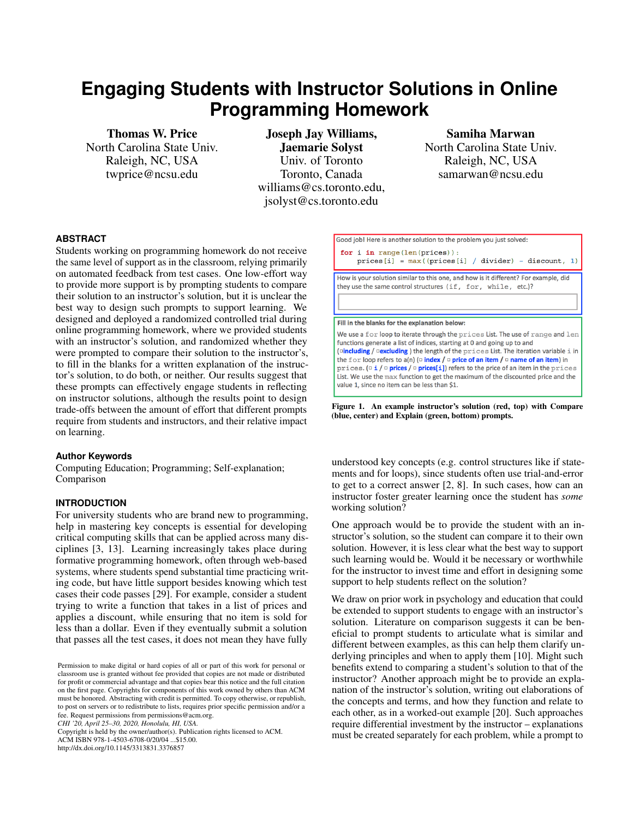# **Engaging Students with Instructor Solutions in Online Programming Homework**

Thomas W. Price North Carolina State Univ. Raleigh, NC, USA twprice@ncsu.edu

Joseph Jay Williams, Jaemarie Solyst Univ. of Toronto Toronto, Canada williams@cs.toronto.edu, jsolyst@cs.toronto.edu

Samiha Marwan North Carolina State Univ. Raleigh, NC, USA samarwan@ncsu.edu

# **ABSTRACT**

Students working on programming homework do not receive the same level of support as in the classroom, relying primarily on automated feedback from test cases. One low-effort way to provide more support is by prompting students to compare their solution to an instructor's solution, but it is unclear the best way to design such prompts to support learning. We designed and deployed a randomized controlled trial during online programming homework, where we provided students with an instructor's solution, and randomized whether they were prompted to compare their solution to the instructor's, to fill in the blanks for a written explanation of the instructor's solution, to do both, or neither. Our results suggest that these prompts can effectively engage students in reflecting on instructor solutions, although the results point to design trade-offs between the amount of effort that different prompts require from students and instructors, and their relative impact on learning.

# **Author Keywords**

Computing Education; Programming; Self-explanation; Comparison

## **INTRODUCTION**

For university students who are brand new to programming, help in mastering key concepts is essential for developing critical computing skills that can be applied across many disciplines [\[3,](#page-5-0) [13\]](#page-5-1). Learning increasingly takes place during formative programming homework, often through web-based systems, where students spend substantial time practicing writing code, but have little support besides knowing which test cases their code passes [\[29\]](#page-6-0). For example, consider a student trying to write a function that takes in a list of prices and applies a discount, while ensuring that no item is sold for less than a dollar. Even if they eventually submit a solution that passes all the test cases, it does not mean they have fully

*CHI '20, April 25–30, 2020, Honolulu, HI, USA.*

Copyright is held by the owner/author(s). Publication rights licensed to ACM.

ACM ISBN 978-1-4503-6708-0/20/04 ...\$15.00.

http://dx.doi.org/10.1145/3313831.3376857



<span id="page-0-0"></span>Figure 1. An example instructor's solution (red, top) with Compare (blue, center) and Explain (green, bottom) prompts.

understood key concepts (e.g. control structures like if statements and for loops), since students often use trial-and-error to get to a correct answer [\[2,](#page-5-2) [8\]](#page-5-3). In such cases, how can an instructor foster greater learning once the student has *some* working solution?

One approach would be to provide the student with an instructor's solution, so the student can compare it to their own solution. However, it is less clear what the best way to support such learning would be. Would it be necessary or worthwhile for the instructor to invest time and effort in designing some support to help students reflect on the solution?

We draw on prior work in psychology and education that could be extended to support students to engage with an instructor's solution. Literature on comparison suggests it can be beneficial to prompt students to articulate what is similar and different between examples, as this can help them clarify underlying principles and when to apply them [\[10\]](#page-5-4). Might such benefits extend to comparing a student's solution to that of the instructor? Another approach might be to provide an explanation of the instructor's solution, writing out elaborations of the concepts and terms, and how they function and relate to each other, as in a worked-out example [\[20\]](#page-6-1). Such approaches require differential investment by the instructor – explanations must be created separately for each problem, while a prompt to

Permission to make digital or hard copies of all or part of this work for personal or classroom use is granted without fee provided that copies are not made or distributed for profit or commercial advantage and that copies bear this notice and the full citation on the first page. Copyrights for components of this work owned by others than ACM must be honored. Abstracting with credit is permitted. To copy otherwise, or republish, to post on servers or to redistribute to lists, requires prior specific permission and/or a fee. Request permissions from permissions@acm.org.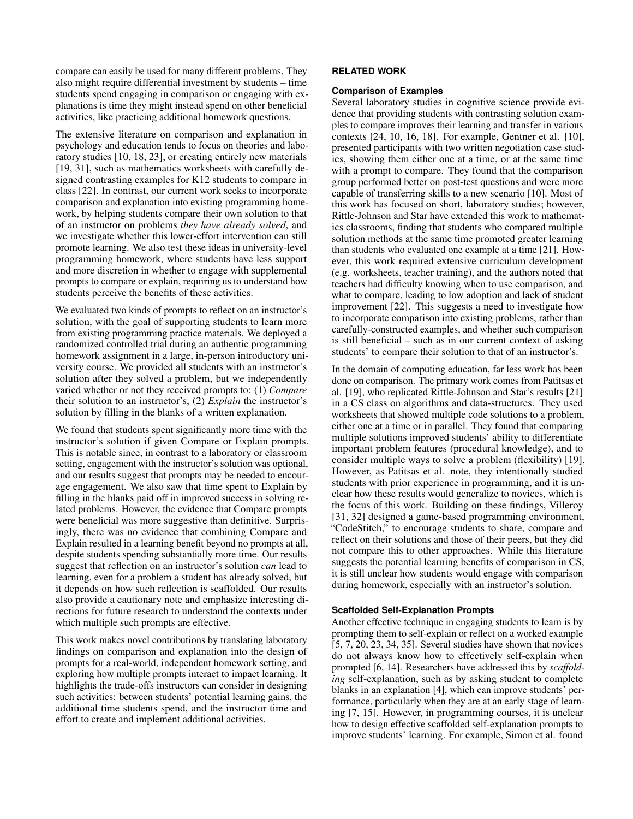compare can easily be used for many different problems. They also might require differential investment by students – time students spend engaging in comparison or engaging with explanations is time they might instead spend on other beneficial activities, like practicing additional homework questions.

The extensive literature on comparison and explanation in psychology and education tends to focus on theories and laboratory studies [\[10,](#page-5-4) [18,](#page-6-2) [23\]](#page-6-3), or creating entirely new materials [\[19,](#page-6-4) [31\]](#page-6-5), such as mathematics worksheets with carefully designed contrasting examples for K12 students to compare in class [\[22\]](#page-6-6). In contrast, our current work seeks to incorporate comparison and explanation into existing programming homework, by helping students compare their own solution to that of an instructor on problems *they have already solved*, and we investigate whether this lower-effort intervention can still promote learning. We also test these ideas in university-level programming homework, where students have less support and more discretion in whether to engage with supplemental prompts to compare or explain, requiring us to understand how students perceive the benefits of these activities.

We evaluated two kinds of prompts to reflect on an instructor's solution, with the goal of supporting students to learn more from existing programming practice materials. We deployed a randomized controlled trial during an authentic programming homework assignment in a large, in-person introductory university course. We provided all students with an instructor's solution after they solved a problem, but we independently varied whether or not they received prompts to: (1) *Compare* their solution to an instructor's, (2) *Explain* the instructor's solution by filling in the blanks of a written explanation.

We found that students spent significantly more time with the instructor's solution if given Compare or Explain prompts. This is notable since, in contrast to a laboratory or classroom setting, engagement with the instructor's solution was optional, and our results suggest that prompts may be needed to encourage engagement. We also saw that time spent to Explain by filling in the blanks paid off in improved success in solving related problems. However, the evidence that Compare prompts were beneficial was more suggestive than definitive. Surprisingly, there was no evidence that combining Compare and Explain resulted in a learning benefit beyond no prompts at all, despite students spending substantially more time. Our results suggest that reflection on an instructor's solution *can* lead to learning, even for a problem a student has already solved, but it depends on how such reflection is scaffolded. Our results also provide a cautionary note and emphasize interesting directions for future research to understand the contexts under which multiple such prompts are effective.

This work makes novel contributions by translating laboratory findings on comparison and explanation into the design of prompts for a real-world, independent homework setting, and exploring how multiple prompts interact to impact learning. It highlights the trade-offs instructors can consider in designing such activities: between students' potential learning gains, the additional time students spend, and the instructor time and effort to create and implement additional activities.

# **RELATED WORK**

## **Comparison of Examples**

Several laboratory studies in cognitive science provide evidence that providing students with contrasting solution examples to compare improves their learning and transfer in various contexts [\[24,](#page-6-7) [10,](#page-5-4) [16,](#page-5-5) [18\]](#page-6-2). For example, Gentner et al. [\[10\]](#page-5-4), presented participants with two written negotiation case studies, showing them either one at a time, or at the same time with a prompt to compare. They found that the comparison group performed better on post-test questions and were more capable of transferring skills to a new scenario [\[10\]](#page-5-4). Most of this work has focused on short, laboratory studies; however, Rittle-Johnson and Star have extended this work to mathematics classrooms, finding that students who compared multiple solution methods at the same time promoted greater learning than students who evaluated one example at a time [\[21\]](#page-6-8). However, this work required extensive curriculum development (e.g. worksheets, teacher training), and the authors noted that teachers had difficulty knowing when to use comparison, and what to compare, leading to low adoption and lack of student improvement [\[22\]](#page-6-6). This suggests a need to investigate how to incorporate comparison into existing problems, rather than carefully-constructed examples, and whether such comparison is still beneficial – such as in our current context of asking students' to compare their solution to that of an instructor's.

In the domain of computing education, far less work has been done on comparison. The primary work comes from Patitsas et al. [\[19\]](#page-6-4), who replicated Rittle-Johnson and Star's results [\[21\]](#page-6-8) in a CS class on algorithms and data-structures. They used worksheets that showed multiple code solutions to a problem, either one at a time or in parallel. They found that comparing multiple solutions improved students' ability to differentiate important problem features (procedural knowledge), and to consider multiple ways to solve a problem (flexibility) [\[19\]](#page-6-4). However, as Patitsas et al. note, they intentionally studied students with prior experience in programming, and it is unclear how these results would generalize to novices, which is the focus of this work. Building on these findings, Villeroy [\[31,](#page-6-5) [32\]](#page-6-9) designed a game-based programming environment, "CodeStitch," to encourage students to share, compare and reflect on their solutions and those of their peers, but they did not compare this to other approaches. While this literature suggests the potential learning benefits of comparison in CS, it is still unclear how students would engage with comparison during homework, especially with an instructor's solution.

#### **Scaffolded Self-Explanation Prompts**

Another effective technique in engaging students to learn is by prompting them to self-explain or reflect on a worked example [\[5,](#page-5-6) [7,](#page-5-7) [20,](#page-6-1) [23,](#page-6-3) [34,](#page-6-10) [35\]](#page-6-11). Several studies have shown that novices do not always know how to effectively self-explain when prompted [\[6,](#page-5-8) [14\]](#page-5-9). Researchers have addressed this by *scaffolding* self-explanation, such as by asking student to complete blanks in an explanation [\[4\]](#page-5-10), which can improve students' performance, particularly when they are at an early stage of learning [\[7,](#page-5-7) [15\]](#page-5-11). However, in programming courses, it is unclear how to design effective scaffolded self-explanation prompts to improve students' learning. For example, Simon et al. found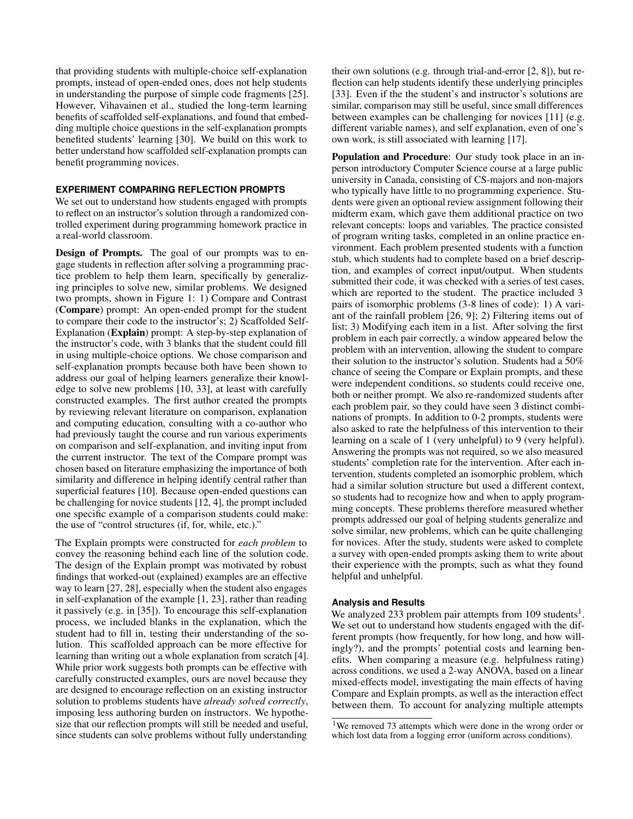that providing students with multiple-choice self-explanation prompts, instead of open-ended ones, does not help students in understanding the purpose of simple code fragments [\[25\]](#page-6-12). However, Vihavainen et al., studied the long-term learning benefits of scaffolded self-explanations, and found that embedding multiple choice questions in the self-explanation prompts benefited students' learning [\[30\]](#page-6-13). We build on this work to better understand how scaffolded self-explanation prompts can benefit programming novices.

# **EXPERIMENT COMPARING REFLECTION PROMPTS**

We set out to understand how students engaged with prompts to reflect on an instructor's solution through a randomized controlled experiment during programming homework practice in a real-world classroom.

Design of Prompts. The goal of our prompts was to engage students in reflection after solving a programming practice problem to help them learn, specifically by generalizing principles to solve new, similar problems. We designed two prompts, shown in Figure [1:](#page-0-0) 1) Compare and Contrast (Compare) prompt: An open-ended prompt for the student to compare their code to the instructor's; 2) Scaffolded Self-Explanation (Explain) prompt: A step-by-step explanation of the instructor's code, with 3 blanks that the student could fill in using multiple-choice options. We chose comparison and self-explanation prompts because both have been shown to address our goal of helping learners generalize their knowledge to solve new problems [\[10,](#page-5-4) [33\]](#page-6-14), at least with carefully constructed examples. The first author created the prompts by reviewing relevant literature on comparison, explanation and computing education, consulting with a co-author who had previously taught the course and run various experiments on comparison and self-explanation, and inviting input from the current instructor. The text of the Compare prompt was chosen based on literature emphasizing the importance of both similarity and difference in helping identify central rather than superficial features [\[10\]](#page-5-4). Because open-ended questions can be challenging for novice students [\[12,](#page-5-12) [4\]](#page-5-10), the prompt included one specific example of a comparison students could make: the use of "control structures (if, for, while, etc.)."

The Explain prompts were constructed for *each problem* to convey the reasoning behind each line of the solution code. The design of the Explain prompt was motivated by robust findings that worked-out (explained) examples are an effective way to learn [\[27,](#page-6-15) [28\]](#page-6-16), especially when the student also engages in self-explanation of the example [\[1,](#page-5-13) [23\]](#page-6-3), rather than reading it passively (e.g. in [\[35\]](#page-6-11)). To encourage this self-explanation process, we included blanks in the explanation, which the student had to fill in, testing their understanding of the solution. This scaffolded approach can be more effective for learning than writing out a whole explanation from scratch [\[4\]](#page-5-10). While prior work suggests both prompts can be effective with carefully constructed examples, ours are novel because they are designed to encourage reflection on an existing instructor solution to problems students have *already solved correctly*, imposing less authoring burden on instructors. We hypothesize that our reflection prompts will still be needed and useful, since students can solve problems without fully understanding

their own solutions (e.g. through trial-and-error [\[2,](#page-5-2) [8\]](#page-5-3)), but reflection can help students identify these underlying principles [\[33\]](#page-6-14). Even if the the student's and instructor's solutions are similar, comparison may still be useful, since small differences between examples can be challenging for novices [\[11\]](#page-5-14) (e.g. different variable names), and self explanation, even of one's own work, is still associated with learning [\[17\]](#page-6-17).

Population and Procedure: Our study took place in an inperson introductory Computer Science course at a large public university in Canada, consisting of CS-majors and non-majors who typically have little to no programming experience. Students were given an optional review assignment following their midterm exam, which gave them additional practice on two relevant concepts: loops and variables. The practice consisted of program writing tasks, completed in an online practice environment. Each problem presented students with a function stub, which students had to complete based on a brief description, and examples of correct input/output. When students submitted their code, it was checked with a series of test cases, which are reported to the student. The practice included 3 pairs of isomorphic problems (3-8 lines of code): 1) A variant of the rainfall problem [\[26,](#page-6-18) [9\]](#page-5-15); 2) Filtering items out of list; 3) Modifying each item in a list. After solving the first problem in each pair correctly, a window appeared below the problem with an intervention, allowing the student to compare their solution to the instructor's solution. Students had a 50% chance of seeing the Compare or Explain prompts, and these were independent conditions, so students could receive one, both or neither prompt. We also re-randomized students after each problem pair, so they could have seen 3 distinct combinations of prompts. In addition to 0-2 prompts, students were also asked to rate the helpfulness of this intervention to their learning on a scale of 1 (very unhelpful) to 9 (very helpful). Answering the prompts was not required, so we also measured students' completion rate for the intervention. After each intervention, students completed an isomorphic problem, which had a similar solution structure but used a different context, so students had to recognize how and when to apply programming concepts. These problems therefore measured whether prompts addressed our goal of helping students generalize and solve similar, new problems, which can be quite challenging for novices. After the study, students were asked to complete a survey with open-ended prompts asking them to write about their experience with the prompts, such as what they found helpful and unhelpful.

#### **Analysis and Results**

We analyzed 233 problem pair attempts from [1](#page-2-0)09 students<sup>1</sup>. We set out to understand how students engaged with the different prompts (how frequently, for how long, and how willingly?), and the prompts' potential costs and learning benefits. When comparing a measure (e.g. helpfulness rating) across conditions, we used a 2-way ANOVA, based on a linear mixed-effects model, investigating the main effects of having Compare and Explain prompts, as well as the interaction effect between them. To account for analyzing multiple attempts

<span id="page-2-0"></span><sup>&</sup>lt;sup>1</sup>We removed 73 attempts which were done in the wrong order or which lost data from a logging error (uniform across conditions).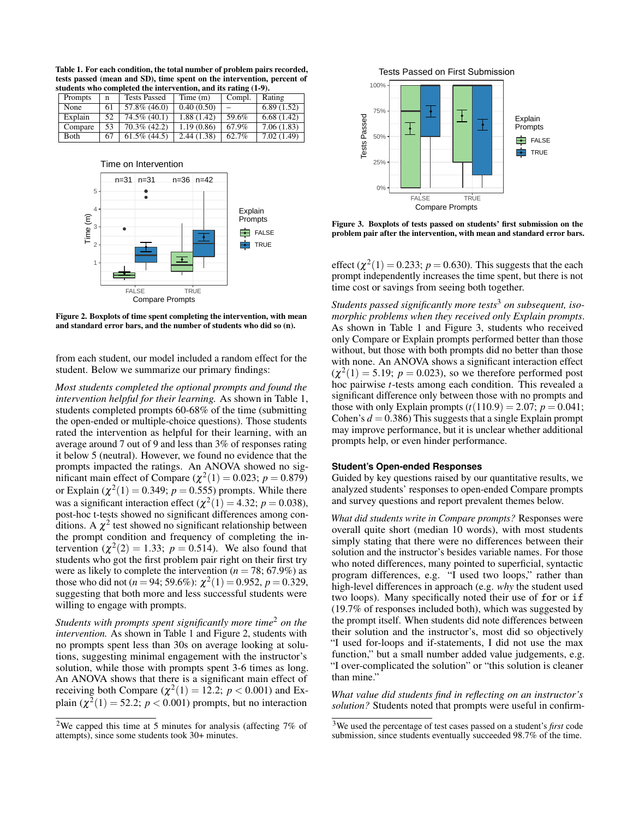<span id="page-3-0"></span>Table 1. For each condition, the total number of problem pairs recorded, tests passed (mean and SD), time spent on the intervention, percent of students who completed the intervention, and its rating (1-9). Prompts n Tests Passed Time (m) Compl. Rating

| Prompts | n   | Tests Passed    | $11$ me $(m)$ | Compi. | Rating      |
|---------|-----|-----------------|---------------|--------|-------------|
| None    | 61  | 57.8% (46.0)    | 0.40(0.50)    |        | 6.89(1.52)  |
| Explain | 52  | 74.5% (40.1)    | 1.88 (1.42)   | 59.6%  | 6.68(1.42)  |
| Compare | 53  | $70.3\%$ (42.2) | 1.19(0.86)    | 67.9%  | 7.06 (1.83) |
| Both    | -67 | $61.5\%$ (44.5) | 2.44(1.38)    | 62.7%  | 7.02(1.49)  |



<span id="page-3-2"></span>Figure 2. Boxplots of time spent completing the intervention, with mean and standard error bars, and the number of students who did so (n).

from each student, our model included a random effect for the student. Below we summarize our primary findings:

*Most students completed the optional prompts and found the intervention helpful for their learning.* As shown in Table [1,](#page-3-0) students completed prompts 60-68% of the time (submitting the open-ended or multiple-choice questions). Those students rated the intervention as helpful for their learning, with an average around 7 out of 9 and less than 3% of responses rating it below 5 (neutral). However, we found no evidence that the prompts impacted the ratings. An ANOVA showed no significant main effect of Compare  $(\chi^2(1) = 0.023; p = 0.879)$ or Explain ( $\chi^2(1) = 0.349$ ;  $p = 0.555$ ) prompts. While there was a significant interaction effect  $(\chi^2(1) = 4.32; p = 0.038)$ , post-hoc t-tests showed no significant differences among conditions. A  $\chi^2$  test showed no significant relationship between the prompt condition and frequency of completing the intervention  $(\chi^2(2) = 1.33; p = 0.514)$ . We also found that students who got the first problem pair right on their first try were as likely to complete the intervention ( $n = 78$ ; 67.9%) as those who did not ( $n = 94$ ; 59.6%):  $\chi^2(1) = 0.952$ ,  $p = 0.329$ , suggesting that both more and less successful students were willing to engage with prompts.

*Students with prompts spent significantly more time*[2](#page-3-1) *on the intervention.* As shown in Table [1](#page-3-0) and Figure [2,](#page-3-2) students with no prompts spent less than 30s on average looking at solutions, suggesting minimal engagement with the instructor's solution, while those with prompts spent 3-6 times as long. An ANOVA shows that there is a significant main effect of receiving both Compare  $(\chi^2(1) = 12.2; p < 0.001)$  and Explain  $(\chi^2(1) = 52.2; p < 0.001)$  prompts, but no interaction



<span id="page-3-4"></span>Figure 3. Boxplots of tests passed on students' first submission on the problem pair after the intervention, with mean and standard error bars.

effect  $(\chi^2(1) = 0.233; p = 0.630)$ . This suggests that the each prompt independently increases the time spent, but there is not time cost or savings from seeing both together.

*Students passed significantly more tests*[3](#page-3-3) *on subsequent, isomorphic problems when they received only Explain prompts*. As shown in Table [1](#page-3-0) and Figure [3,](#page-3-4) students who received only Compare or Explain prompts performed better than those without, but those with both prompts did no better than those with none. An ANOVA shows a significant interaction effect  $(\chi^2(1) = 5.19; p = 0.023)$ , so we therefore performed post hoc pairwise *t*-tests among each condition. This revealed a significant difference only between those with no prompts and those with only Explain prompts  $(t(110.9) = 2.07; p = 0.041;$ Cohen's  $d = 0.386$ ) This suggests that a single Explain prompt may improve performance, but it is unclear whether additional prompts help, or even hinder performance.

## **Student's Open-ended Responses**

Guided by key questions raised by our quantitative results, we analyzed students' responses to open-ended Compare prompts and survey questions and report prevalent themes below.

*What did students write in Compare prompts?* Responses were overall quite short (median 10 words), with most students simply stating that there were no differences between their solution and the instructor's besides variable names. For those who noted differences, many pointed to superficial, syntactic program differences, e.g. "I used two loops," rather than high-level differences in approach (e.g. *why* the student used two loops). Many specifically noted their use of for or if (19.7% of responses included both), which was suggested by the prompt itself. When students did note differences between their solution and the instructor's, most did so objectively "I used for-loops and if-statements, I did not use the max function," but a small number added value judgements, e.g. "I over-complicated the solution" or "this solution is cleaner than mine."

*What value did students find in reflecting on an instructor's solution?* Students noted that prompts were useful in confirm-

<span id="page-3-1"></span><sup>&</sup>lt;sup>2</sup>We capped this time at 5 minutes for analysis (affecting  $7\%$  of attempts), since some students took 30+ minutes.

<span id="page-3-3"></span><sup>3</sup>We used the percentage of test cases passed on a student's *first* code submission, since students eventually succeeded 98.7% of the time.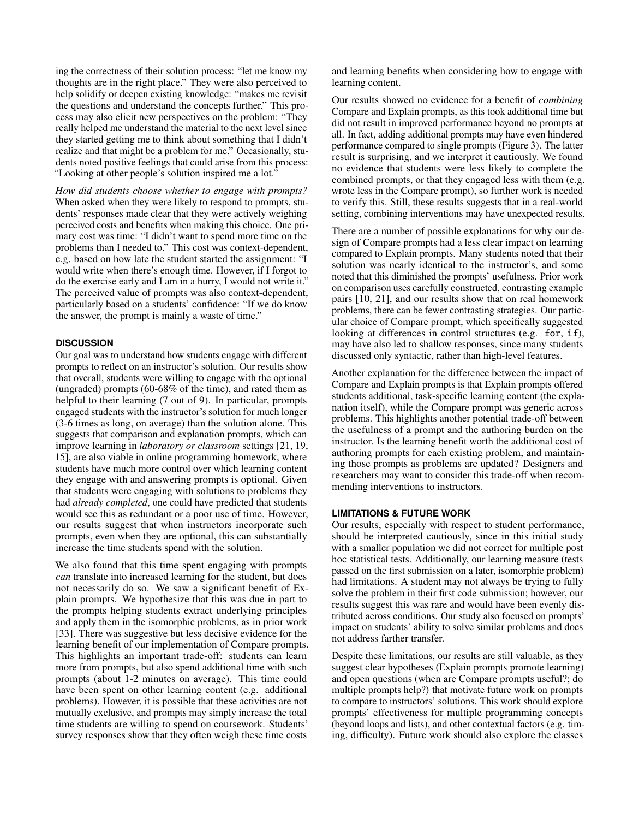ing the correctness of their solution process: "let me know my thoughts are in the right place." They were also perceived to help solidify or deepen existing knowledge: "makes me revisit the questions and understand the concepts further." This process may also elicit new perspectives on the problem: "They really helped me understand the material to the next level since they started getting me to think about something that I didn't realize and that might be a problem for me." Occasionally, students noted positive feelings that could arise from this process: "Looking at other people's solution inspired me a lot."

*How did students choose whether to engage with prompts?* When asked when they were likely to respond to prompts, students' responses made clear that they were actively weighing perceived costs and benefits when making this choice. One primary cost was time: "I didn't want to spend more time on the problems than I needed to." This cost was context-dependent, e.g. based on how late the student started the assignment: "I would write when there's enough time. However, if I forgot to do the exercise early and I am in a hurry, I would not write it." The perceived value of prompts was also context-dependent, particularly based on a students' confidence: "If we do know the answer, the prompt is mainly a waste of time."

## **DISCUSSION**

Our goal was to understand how students engage with different prompts to reflect on an instructor's solution. Our results show that overall, students were willing to engage with the optional (ungraded) prompts (60-68% of the time), and rated them as helpful to their learning (7 out of 9). In particular, prompts engaged students with the instructor's solution for much longer (3-6 times as long, on average) than the solution alone. This suggests that comparison and explanation prompts, which can improve learning in *laboratory or classroom* settings [\[21,](#page-6-8) [19,](#page-6-4) [15\]](#page-5-11), are also viable in online programming homework, where students have much more control over which learning content they engage with and answering prompts is optional. Given that students were engaging with solutions to problems they had *already completed*, one could have predicted that students would see this as redundant or a poor use of time. However, our results suggest that when instructors incorporate such prompts, even when they are optional, this can substantially increase the time students spend with the solution.

We also found that this time spent engaging with prompts *can* translate into increased learning for the student, but does not necessarily do so. We saw a significant benefit of Explain prompts. We hypothesize that this was due in part to the prompts helping students extract underlying principles and apply them in the isomorphic problems, as in prior work [\[33\]](#page-6-14). There was suggestive but less decisive evidence for the learning benefit of our implementation of Compare prompts. This highlights an important trade-off: students can learn more from prompts, but also spend additional time with such prompts (about 1-2 minutes on average). This time could have been spent on other learning content (e.g. additional problems). However, it is possible that these activities are not mutually exclusive, and prompts may simply increase the total time students are willing to spend on coursework. Students' survey responses show that they often weigh these time costs

and learning benefits when considering how to engage with learning content.

Our results showed no evidence for a benefit of *combining* Compare and Explain prompts, as this took additional time but did not result in improved performance beyond no prompts at all. In fact, adding additional prompts may have even hindered performance compared to single prompts (Figure [3\)](#page-3-4). The latter result is surprising, and we interpret it cautiously. We found no evidence that students were less likely to complete the combined prompts, or that they engaged less with them (e.g. wrote less in the Compare prompt), so further work is needed to verify this. Still, these results suggests that in a real-world setting, combining interventions may have unexpected results.

There are a number of possible explanations for why our design of Compare prompts had a less clear impact on learning compared to Explain prompts. Many students noted that their solution was nearly identical to the instructor's, and some noted that this diminished the prompts' usefulness. Prior work on comparison uses carefully constructed, contrasting example pairs [\[10,](#page-5-4) [21\]](#page-6-8), and our results show that on real homework problems, there can be fewer contrasting strategies. Our particular choice of Compare prompt, which specifically suggested looking at differences in control structures (e.g. for, if), may have also led to shallow responses, since many students discussed only syntactic, rather than high-level features.

Another explanation for the difference between the impact of Compare and Explain prompts is that Explain prompts offered students additional, task-specific learning content (the explanation itself), while the Compare prompt was generic across problems. This highlights another potential trade-off between the usefulness of a prompt and the authoring burden on the instructor. Is the learning benefit worth the additional cost of authoring prompts for each existing problem, and maintaining those prompts as problems are updated? Designers and researchers may want to consider this trade-off when recommending interventions to instructors.

## **LIMITATIONS & FUTURE WORK**

Our results, especially with respect to student performance, should be interpreted cautiously, since in this initial study with a smaller population we did not correct for multiple post hoc statistical tests. Additionally, our learning measure (tests passed on the first submission on a later, isomorphic problem) had limitations. A student may not always be trying to fully solve the problem in their first code submission; however, our results suggest this was rare and would have been evenly distributed across conditions. Our study also focused on prompts' impact on students' ability to solve similar problems and does not address farther transfer.

Despite these limitations, our results are still valuable, as they suggest clear hypotheses (Explain prompts promote learning) and open questions (when are Compare prompts useful?; do multiple prompts help?) that motivate future work on prompts to compare to instructors' solutions. This work should explore prompts' effectiveness for multiple programming concepts (beyond loops and lists), and other contextual factors (e.g. timing, difficulty). Future work should also explore the classes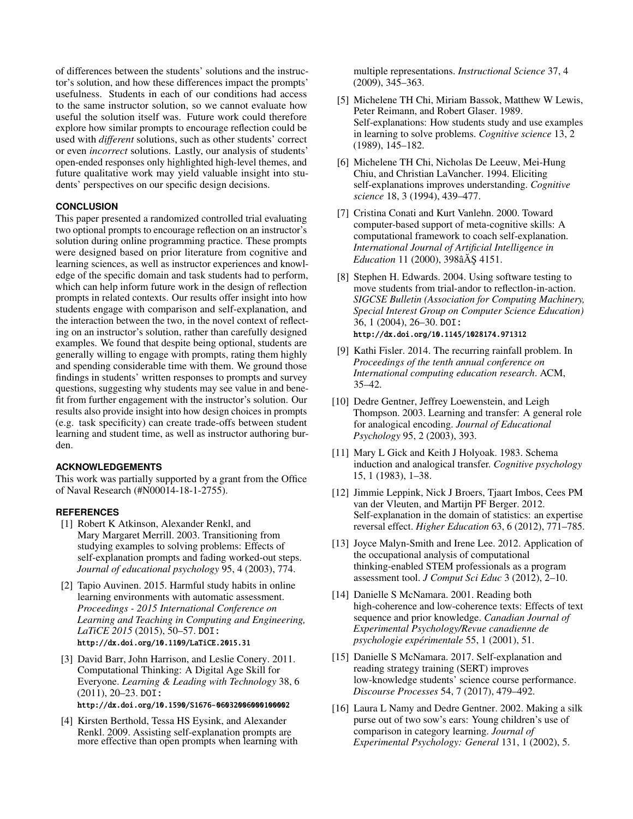of differences between the students' solutions and the instructor's solution, and how these differences impact the prompts' usefulness. Students in each of our conditions had access to the same instructor solution, so we cannot evaluate how useful the solution itself was. Future work could therefore explore how similar prompts to encourage reflection could be used with *different* solutions, such as other students' correct or even *incorrect* solutions. Lastly, our analysis of students' open-ended responses only highlighted high-level themes, and future qualitative work may yield valuable insight into students' perspectives on our specific design decisions.

# **CONCLUSION**

This paper presented a randomized controlled trial evaluating two optional prompts to encourage reflection on an instructor's solution during online programming practice. These prompts were designed based on prior literature from cognitive and learning sciences, as well as instructor experiences and knowledge of the specific domain and task students had to perform, which can help inform future work in the design of reflection prompts in related contexts. Our results offer insight into how students engage with comparison and self-explanation, and the interaction between the two, in the novel context of reflecting on an instructor's solution, rather than carefully designed examples. We found that despite being optional, students are generally willing to engage with prompts, rating them highly and spending considerable time with them. We ground those findings in students' written responses to prompts and survey questions, suggesting why students may see value in and benefit from further engagement with the instructor's solution. Our results also provide insight into how design choices in prompts (e.g. task specificity) can create trade-offs between student learning and student time, as well as instructor authoring burden.

## **ACKNOWLEDGEMENTS**

This work was partially supported by a grant from the Office of Naval Research (#N00014-18-1-2755).

# <span id="page-5-13"></span>**REFERENCES**

- [1] Robert K Atkinson, Alexander Renkl, and Mary Margaret Merrill. 2003. Transitioning from studying examples to solving problems: Effects of self-explanation prompts and fading worked-out steps. *Journal of educational psychology* 95, 4 (2003), 774.
- <span id="page-5-2"></span>[2] Tapio Auvinen. 2015. Harmful study habits in online learning environments with automatic assessment. *Proceedings - 2015 International Conference on Learning and Teaching in Computing and Engineering, LaTiCE 2015* (2015), 50–57. DOI: <http://dx.doi.org/10.1109/LaTiCE.2015.31>
- <span id="page-5-0"></span>[3] David Barr, John Harrison, and Leslie Conery. 2011. Computational Thinking: A Digital Age Skill for Everyone. *Learning & Leading with Technology* 38, 6 (2011), 20–23. DOI: <http://dx.doi.org/10.1590/S1676-06032006000100002>
- <span id="page-5-10"></span>[4] Kirsten Berthold, Tessa HS Eysink, and Alexander Renkl. 2009. Assisting self-explanation prompts are more effective than open prompts when learning with

multiple representations. *Instructional Science* 37, 4 (2009), 345–363.

- <span id="page-5-6"></span>[5] Michelene TH Chi, Miriam Bassok, Matthew W Lewis, Peter Reimann, and Robert Glaser. 1989. Self-explanations: How students study and use examples in learning to solve problems. *Cognitive science* 13, 2 (1989), 145–182.
- <span id="page-5-8"></span>[6] Michelene TH Chi, Nicholas De Leeuw, Mei-Hung Chiu, and Christian LaVancher. 1994. Eliciting self-explanations improves understanding. *Cognitive science* 18, 3 (1994), 439–477.
- <span id="page-5-7"></span>[7] Cristina Conati and Kurt Vanlehn. 2000. Toward computer-based support of meta-cognitive skills: A computational framework to coach self-explanation. *International Journal of Artificial Intelligence in Education* 11 (2000), 398âÅS 4151.
- <span id="page-5-3"></span>[8] Stephen H. Edwards. 2004. Using software testing to move students from trial-andor to reflectlon-in-action. *SIGCSE Bulletin (Association for Computing Machinery, Special Interest Group on Computer Science Education)* 36, 1 (2004), 26–30. DOI: <http://dx.doi.org/10.1145/1028174.971312>
- <span id="page-5-15"></span>[9] Kathi Fisler. 2014. The recurring rainfall problem. In *Proceedings of the tenth annual conference on International computing education research*. ACM, 35–42.
- <span id="page-5-4"></span>[10] Dedre Gentner, Jeffrey Loewenstein, and Leigh Thompson. 2003. Learning and transfer: A general role for analogical encoding. *Journal of Educational Psychology* 95, 2 (2003), 393.
- <span id="page-5-14"></span>[11] Mary L Gick and Keith J Holyoak. 1983. Schema induction and analogical transfer. *Cognitive psychology* 15, 1 (1983), 1–38.
- <span id="page-5-12"></span>[12] Jimmie Leppink, Nick J Broers, Tjaart Imbos, Cees PM van der Vleuten, and Martijn PF Berger. 2012. Self-explanation in the domain of statistics: an expertise reversal effect. *Higher Education* 63, 6 (2012), 771–785.
- <span id="page-5-1"></span>[13] Joyce Malyn-Smith and Irene Lee. 2012. Application of the occupational analysis of computational thinking-enabled STEM professionals as a program assessment tool. *J Comput Sci Educ* 3 (2012), 2–10.
- <span id="page-5-9"></span>[14] Danielle S McNamara. 2001. Reading both high-coherence and low-coherence texts: Effects of text sequence and prior knowledge. *Canadian Journal of Experimental Psychology/Revue canadienne de psychologie expérimentale* 55, 1 (2001), 51.
- <span id="page-5-11"></span>[15] Danielle S McNamara. 2017. Self-explanation and reading strategy training (SERT) improves low-knowledge students' science course performance. *Discourse Processes* 54, 7 (2017), 479–492.
- <span id="page-5-5"></span>[16] Laura L Namy and Dedre Gentner. 2002. Making a silk purse out of two sow's ears: Young children's use of comparison in category learning. *Journal of Experimental Psychology: General* 131, 1 (2002), 5.